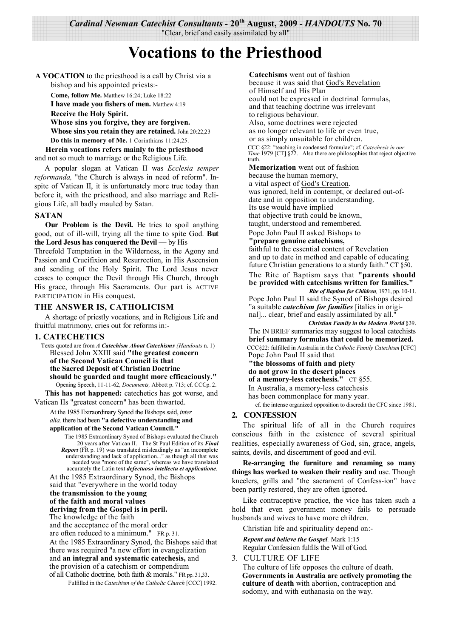*Cardinal Newman Catechist Consultants* **- 20th August, 2009 -** *HANDOUTS* **No. 70** 

"Clear, brief and easily assimilated by all"

# **Vocations to the Priesthood**

**A VOCATION** to the priesthood is a call by Christ via a bishop and his appointed priests:-

**Come, follow Me.** Matthew 16:24; Luke 18:22

**I have made you fishers of men.** Matthew 4:19 **Receive the Holy Spirit. Whose sins you forgive, they are forgiven. Whose sins you retain they are retained.** John 20:22,23

**Do this in memory of Me.** 1 Corinthians 11:24,25.

**Herein vocations refers mainly to the priesthood** and not so much to marriage or the Religious Life.

A popular slogan at Vatican II was *Ecclesia semper reformanda,* "the Church is always in need of reform". Inspite of Vatican II, it is unfortunately more true today than before it, with the priesthood, and also marriage and Religious Life, all badly mauled by Satan.

#### **SATAN**

**Our Problem is the Devil.** He tries to spoil anything good, out of ill-will, trying all the time to spite God. **But the Lord Jesus has conquered the Devil** — by His

Threefold Temptation in the Wilderness, in the Agony and Passion and Crucifixion and Resurrection, in His Ascension and sending of the Holy Spirit. The Lord Jesus never ceases to conquer the Devil through His Church, through His grace, through His Sacraments. Our part is ACTIVE PARTICIPATION in His conquest.

## **THE ANSWER IS, CATHOLICISM**

A shortage of priestly vocations, and in Religious Life and fruitful matrimony, cries out for reforms in:-

## **1. CATECHETICS**

Texts quoted are from *A Catechism About Catechisms {Handouts* n. 1) Blessed John XXIII said **"the greatest concern of the Second Vatican Council is that the Sacred Deposit of Christian Doctrine should be guarded and taught more efficaciously."** Opening Speech, 11-11-62, *Documents,* Abbott p. 713; cf. CCCp. 2.

**This has not happened:** catechetics has got worse, and Vatican IIs "greatest concern" has been thwarted.

At the 1985 Extraordinary Synod the Bishops said, *inter alia,* there had been **"a defective understanding and application of the Second Vatican Council."**

The 1985 Extraordinary Synod of Bishops evaluated the Church 20 years after Vatican II. The St Paul Edition of its *Final Report* (FR p. 19) was translated misleadingly as "an incomplete understanding and lack of application..." as though all that was needed was "more of the same", whereas we have translated accurately the Latin text *defectuoso intellectu et applicatione.*

At the 1985 Extraordinary Synod, the Bishops said that "everywhere in the world today **the transmission to the young of the faith and moral values deriving from the Gospel is in peril.**

The knowledge of the faith and the acceptance of the moral order

are often reduced to a minimum." FR p. 31. At the 1985 Extraordinary Synod, the Bishops said that there was required "a new effort in evangelization

and **an integral and systematic catechesis,** and the provision of a catechism or compendium of all Catholic doctrine, both faith & morals." FR pp. 31,33.

Fulfilled in the *Catechism of the Catholic Church* [CCC] 1992.

**Catechisms** went out of fashion

because it was said that God's Revelation of Himself and His Plan could not be expressed in doctrinal formulas, and that teaching doctrine was irrelevant to religious behaviour.

Also, some doctrines were rejected as no longer relevant to life or even true, or as simply unsuitable for children. CCC §22: "teaching in condensed formulae"; cf. *Catechesis in our Time* 1979 [CT] §22. Also there are philosophies that reject objective truth.

**Memorization** went out of fashion because the human memory,

a vital aspect of God's Creation.

was ignored, held in contempt, or declared out-ofdate and in opposition to understanding. Its use would have implied

that objective truth could be known,

taught, understood and remembered.

Pope John Paul II asked Bishops to

#### **"prepare genuine catechisms,**

faithful to the essential content of Revelation and up to date in method and capable of educating future Christian generations to a sturdy faith." CT §50.

The Rite of Baptism says that **"parents should be provided with catechisms written for families."** *Rite of Baptism for Children,* 1971, pp. 10-11.

Pope John Paul II said the Synod of Bishops desired "a suitable *catechism for families* [italics in original]... clear, brief and easily assimilated by all."

*Christian Family in the Modern World* §39.

The IN BRIEF summaries may suggest to local catechists **brief summary formulas that could be memorized.** CCC§22: fulfilled in Australia in the *Catholic Family Catechism* [CFC]

Pope John Paul II said that

**"the blossoms of faith and piety**

**do not grow in the desert places of a memory-less catechesis."** CT §55.

In Australia, a memory-less catechesis

has been commonplace for many year.

cf. the intense organized opposition to discredit the CFC since 1981.

## **2. CONFESSION**

The spiritual life of all in the Church requires conscious faith in the existence of several spiritual realities, especially awareness of God, sin, grace, angels, saints, devils, and discernment of good and evil.

**Re-arranging the furniture and renaming so many things has worked to weaken their reality and** use. Though kneelers, grills and "the sacrament of Confess-ion" have been partly restored, they are often ignored.

Like contraceptive practice, the vice has taken such a hold that even government money fails to persuade husbands and wives to have more children.

Christian life and spirituality depend on:-

*Repent and believe the Gospel.* Mark 1:15 Regular Confession fulfils the Will of God.

3. CULTURE OF LIFE

The culture of life opposes the culture of death. **Governments in Australia are actively promoting the culture of death** with abortion, contraception and sodomy, and with euthanasia on the way.